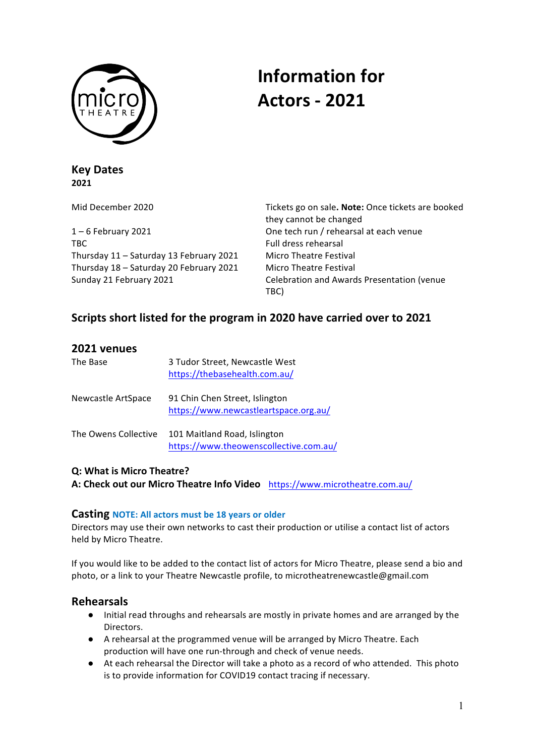

# **Information for Actors - 2021**

**Key Dates 2021**

1 – 6 February 2021 **Communist Communist Communist Communist Communist Communist Communist Communist Communist Communist Communist Communist Communist Communist Communist Communist Communist Communist Communist Communist C** TBC Full dress rehearsal Thursday 11 – Saturday 13 February 2021 Micro Theatre Festival Thursday 18 – Saturday 20 February 2021 Micro Theatre Festival

Mid December 2020 **Tickets** go on sale. **Note:** Once tickets are booked they cannot be changed Sunday 21 February 2021 **Celebration** and Awards Presentation (venue TBC)

# Scripts short listed for the program in 2020 have carried over to 2021

| 2021 venues          |                                                                         |
|----------------------|-------------------------------------------------------------------------|
| The Base             | 3 Tudor Street, Newcastle West<br>https://thebasehealth.com.au/         |
| Newcastle ArtSpace   | 91 Chin Chen Street, Islington<br>https://www.newcastleartspace.org.au/ |
| The Owens Collective | 101 Maitland Road, Islington<br>https://www.theowenscollective.com.au/  |

### **Q: What is Micro Theatre?**

A: Check out our Micro Theatre Info Video https://www.microtheatre.com.au/

### **Casting NOTE: All actors must be 18 years or older**

Directors may use their own networks to cast their production or utilise a contact list of actors held by Micro Theatre.

If you would like to be added to the contact list of actors for Micro Theatre, please send a bio and photo, or a link to your Theatre Newcastle profile, to microtheatrenewcastle@gmail.com

## **Rehearsals**

- Initial read throughs and rehearsals are mostly in private homes and are arranged by the Directors.
- A rehearsal at the programmed venue will be arranged by Micro Theatre. Each production will have one run-through and check of venue needs.
- At each rehearsal the Director will take a photo as a record of who attended. This photo is to provide information for COVID19 contact tracing if necessary.